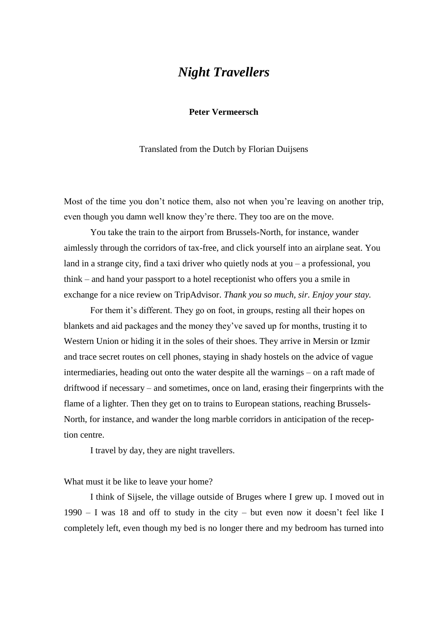# *Night Travellers*

### **Peter Vermeersch**

Translated from the Dutch by Florian Duijsens

Most of the time you don't notice them, also not when you're leaving on another trip, even though you damn well know they're there. They too are on the move.

You take the train to the airport from Brussels-North, for instance, wander aimlessly through the corridors of tax-free, and click yourself into an airplane seat. You land in a strange city, find a taxi driver who quietly nods at you – a professional, you think – and hand your passport to a hotel receptionist who offers you a smile in exchange for a nice review on TripAdvisor. *Thank you so much, sir. Enjoy your stay.*

For them it's different. They go on foot, in groups, resting all their hopes on blankets and aid packages and the money they've saved up for months, trusting it to Western Union or hiding it in the soles of their shoes. They arrive in Mersin or Izmir and trace secret routes on cell phones, staying in shady hostels on the advice of vague intermediaries, heading out onto the water despite all the warnings – on a raft made of driftwood if necessary – and sometimes, once on land, erasing their fingerprints with the flame of a lighter. Then they get on to trains to European stations, reaching Brussels-North, for instance, and wander the long marble corridors in anticipation of the reception centre.

I travel by day, they are night travellers.

#### What must it be like to leave your home?

I think of Sijsele, the village outside of Bruges where I grew up. I moved out in 1990 – I was 18 and off to study in the city – but even now it doesn't feel like I completely left, even though my bed is no longer there and my bedroom has turned into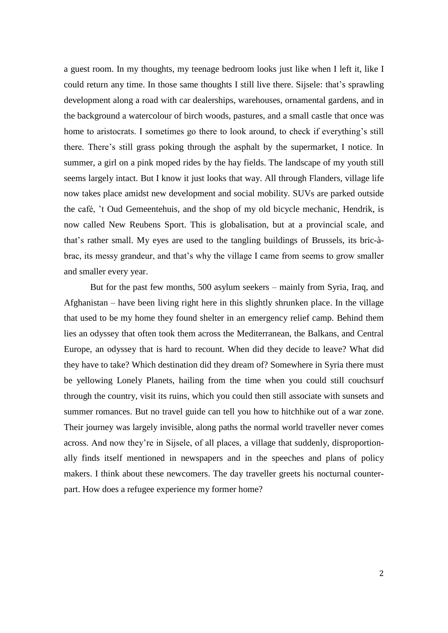a guest room. In my thoughts, my teenage bedroom looks just like when I left it, like I could return any time. In those same thoughts I still live there. Sijsele: that's sprawling development along a road with car dealerships, warehouses, ornamental gardens, and in the background a watercolour of birch woods, pastures, and a small castle that once was home to aristocrats. I sometimes go there to look around, to check if everything's still there. There's still grass poking through the asphalt by the supermarket, I notice. In summer, a girl on a pink moped rides by the hay fields. The landscape of my youth still seems largely intact. But I know it just looks that way. All through Flanders, village life now takes place amidst new development and social mobility. SUVs are parked outside the café, 't Oud Gemeentehuis, and the shop of my old bicycle mechanic, Hendrik, is now called New Reubens Sport. This is globalisation, but at a provincial scale, and that's rather small. My eyes are used to the tangling buildings of Brussels, its bric-àbrac, its messy grandeur, and that's why the village I came from seems to grow smaller and smaller every year.

But for the past few months, 500 asylum seekers – mainly from Syria, Iraq, and Afghanistan – have been living right here in this slightly shrunken place. In the village that used to be my home they found shelter in an emergency relief camp. Behind them lies an odyssey that often took them across the Mediterranean, the Balkans, and Central Europe, an odyssey that is hard to recount. When did they decide to leave? What did they have to take? Which destination did they dream of? Somewhere in Syria there must be yellowing Lonely Planets, hailing from the time when you could still couchsurf through the country, visit its ruins, which you could then still associate with sunsets and summer romances. But no travel guide can tell you how to hitchhike out of a war zone. Their journey was largely invisible, along paths the normal world traveller never comes across. And now they're in Sijsele, of all places, a village that suddenly, disproportionally finds itself mentioned in newspapers and in the speeches and plans of policy makers. I think about these newcomers. The day traveller greets his nocturnal counterpart. How does a refugee experience my former home?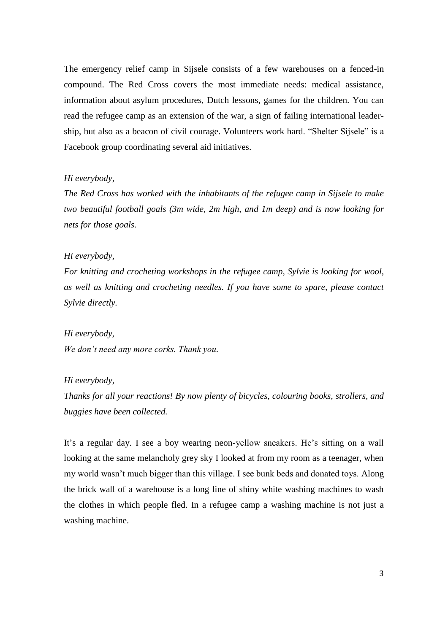The emergency relief camp in Sijsele consists of a few warehouses on a fenced-in compound. The Red Cross covers the most immediate needs: medical assistance, information about asylum procedures, Dutch lessons, games for the children. You can read the refugee camp as an extension of the war, a sign of failing international leadership, but also as a beacon of civil courage. Volunteers work hard. "Shelter Sijsele" is a Facebook group coordinating several aid initiatives.

#### *Hi everybody,*

*The Red Cross has worked with the inhabitants of the refugee camp in Sijsele to make two beautiful football goals (3m wide, 2m high, and 1m deep) and is now looking for nets for those goals.*

#### *Hi everybody,*

*For knitting and crocheting workshops in the refugee camp, Sylvie is looking for wool, as well as knitting and crocheting needles. If you have some to spare, please contact Sylvie directly.*

## *Hi everybody, We don't need any more corks. Thank you.*

### *Hi everybody,*

*Thanks for all your reactions! By now plenty of bicycles, colouring books, strollers, and buggies have been collected.*

It's a regular day. I see a boy wearing neon-yellow sneakers. He's sitting on a wall looking at the same melancholy grey sky I looked at from my room as a teenager, when my world wasn't much bigger than this village. I see bunk beds and donated toys. Along the brick wall of a warehouse is a long line of shiny white washing machines to wash the clothes in which people fled. In a refugee camp a washing machine is not just a washing machine.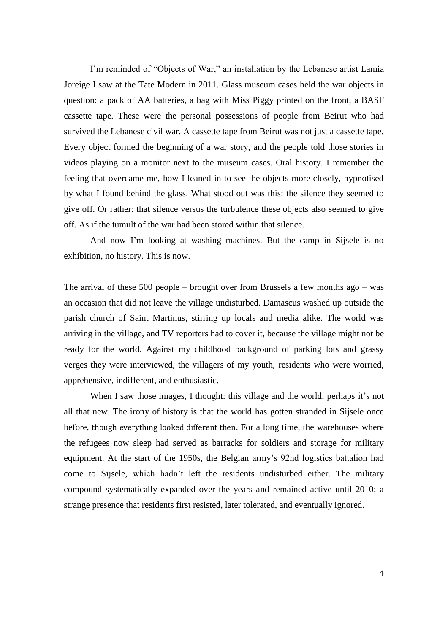I'm reminded of "Objects of War," an installation by the Lebanese artist Lamia Joreige I saw at the Tate Modern in 2011. Glass museum cases held the war objects in question: a pack of AA batteries, a bag with Miss Piggy printed on the front, a BASF cassette tape. These were the personal possessions of people from Beirut who had survived the Lebanese civil war. A cassette tape from Beirut was not just a cassette tape. Every object formed the beginning of a war story, and the people told those stories in videos playing on a monitor next to the museum cases. Oral history. I remember the feeling that overcame me, how I leaned in to see the objects more closely, hypnotised by what I found behind the glass. What stood out was this: the silence they seemed to give off. Or rather: that silence versus the turbulence these objects also seemed to give off. As if the tumult of the war had been stored within that silence.

And now I'm looking at washing machines. But the camp in Sijsele is no exhibition, no history. This is now.

The arrival of these 500 people – brought over from Brussels a few months ago – was an occasion that did not leave the village undisturbed. Damascus washed up outside the parish church of Saint Martinus, stirring up locals and media alike. The world was arriving in the village, and TV reporters had to cover it, because the village might not be ready for the world. Against my childhood background of parking lots and grassy verges they were interviewed, the villagers of my youth, residents who were worried, apprehensive, indifferent, and enthusiastic.

When I saw those images, I thought: this village and the world, perhaps it's not all that new. The irony of history is that the world has gotten stranded in Sijsele once before, though everything looked different then. For a long time, the warehouses where the refugees now sleep had served as barracks for soldiers and storage for military equipment. At the start of the 1950s, the Belgian army's 92nd logistics battalion had come to Sijsele, which hadn't left the residents undisturbed either. The military compound systematically expanded over the years and remained active until 2010; a strange presence that residents first resisted, later tolerated, and eventually ignored.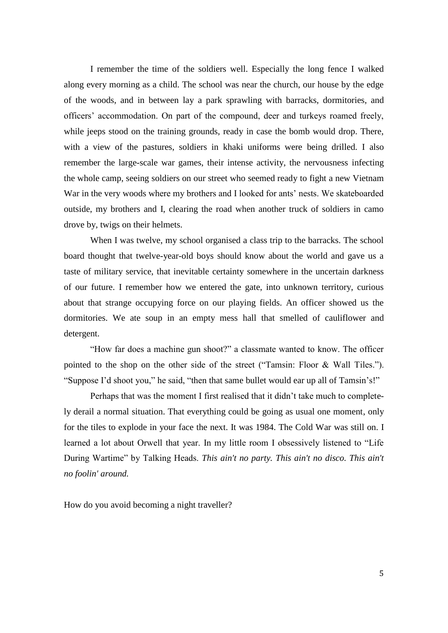I remember the time of the soldiers well. Especially the long fence I walked along every morning as a child. The school was near the church, our house by the edge of the woods, and in between lay a park sprawling with barracks, dormitories, and officers' accommodation. On part of the compound, deer and turkeys roamed freely, while jeeps stood on the training grounds, ready in case the bomb would drop. There, with a view of the pastures, soldiers in khaki uniforms were being drilled. I also remember the large-scale war games, their intense activity, the nervousness infecting the whole camp, seeing soldiers on our street who seemed ready to fight a new Vietnam War in the very woods where my brothers and I looked for ants' nests. We skateboarded outside, my brothers and I, clearing the road when another truck of soldiers in camo drove by, twigs on their helmets.

When I was twelve, my school organised a class trip to the barracks. The school board thought that twelve-year-old boys should know about the world and gave us a taste of military service, that inevitable certainty somewhere in the uncertain darkness of our future. I remember how we entered the gate, into unknown territory, curious about that strange occupying force on our playing fields. An officer showed us the dormitories. We ate soup in an empty mess hall that smelled of cauliflower and detergent.

"How far does a machine gun shoot?" a classmate wanted to know. The officer pointed to the shop on the other side of the street ("Tamsin: Floor & Wall Tiles."). "Suppose I'd shoot you," he said, "then that same bullet would ear up all of Tamsin's!"

Perhaps that was the moment I first realised that it didn't take much to completely derail a normal situation. That everything could be going as usual one moment, only for the tiles to explode in your face the next. It was 1984. The Cold War was still on. I learned a lot about Orwell that year. In my little room I obsessively listened to "Life During Wartime" by Talking Heads. *This ain't no party. This ain't no disco. This ain't no foolin' around.*

How do you avoid becoming a night traveller?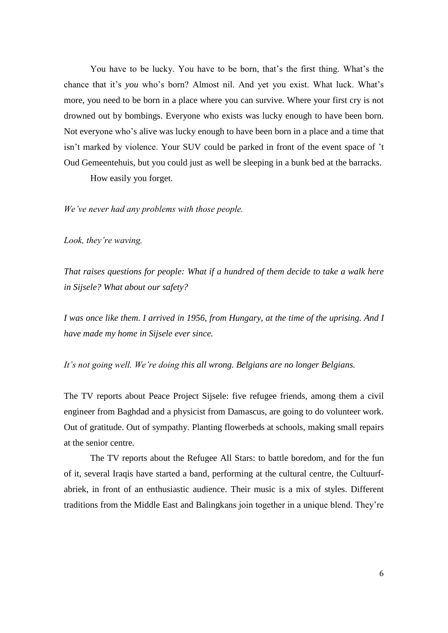You have to be lucky. You have to be born, that's the first thing. What's the chance that it's *you* who's born? Almost nil. And yet you exist. What luck. What's more, you need to be born in a place where you can survive. Where your first cry is not drowned out by bombings. Everyone who exists was lucky enough to have been born. Not everyone who's alive was lucky enough to have been born in a place and a time that isn't marked by violence. Your SUV could be parked in front of the event space of 't Oud Gemeentehuis, but you could just as well be sleeping in a bunk bed at the barracks.

How easily you forget.

*We've never had any problems with those people.*

*Look, they're waving.*

*That raises questions for people: What if a hundred of them decide to take a walk here in Sijsele? What about our safety?*

*I was once like them. I arrived in 1956, from Hungary, at the time of the uprising. And I have made my home in Sijsele ever since.*

*It's not going well. We're doing this all wrong. Belgians are no longer Belgians.*

The TV reports about Peace Project Sijsele: five refugee friends, among them a civil engineer from Baghdad and a physicist from Damascus, are going to do volunteer work. Out of gratitude. Out of sympathy. Planting flowerbeds at schools, making small repairs at the senior centre.

The TV reports about the Refugee All Stars: to battle boredom, and for the fun of it, several Iraqis have started a band, performing at the cultural centre, the Cultuurfabriek, in front of an enthusiastic audience. Their music is a mix of styles. Different traditions from the Middle East and Balingkans join together in a unique blend. They're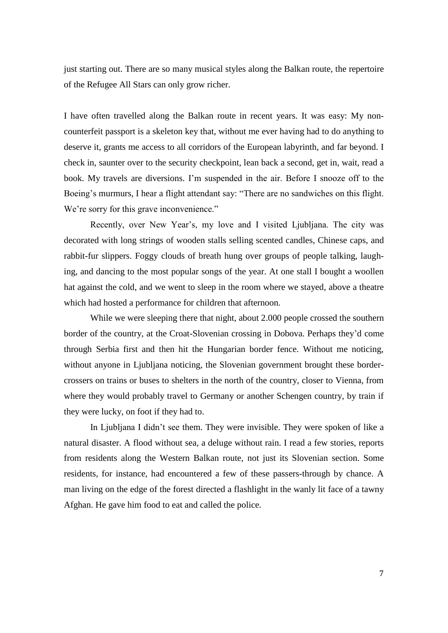just starting out. There are so many musical styles along the Balkan route, the repertoire of the Refugee All Stars can only grow richer.

I have often travelled along the Balkan route in recent years. It was easy: My noncounterfeit passport is a skeleton key that, without me ever having had to do anything to deserve it, grants me access to all corridors of the European labyrinth, and far beyond. I check in, saunter over to the security checkpoint, lean back a second, get in, wait, read a book. My travels are diversions. I'm suspended in the air. Before I snooze off to the Boeing's murmurs, I hear a flight attendant say: "There are no sandwiches on this flight. We're sorry for this grave inconvenience."

Recently, over New Year's, my love and I visited Ljubljana. The city was decorated with long strings of wooden stalls selling scented candles, Chinese caps, and rabbit-fur slippers. Foggy clouds of breath hung over groups of people talking, laughing, and dancing to the most popular songs of the year. At one stall I bought a woollen hat against the cold, and we went to sleep in the room where we stayed, above a theatre which had hosted a performance for children that afternoon.

While we were sleeping there that night, about 2.000 people crossed the southern border of the country, at the Croat-Slovenian crossing in Dobova. Perhaps they'd come through Serbia first and then hit the Hungarian border fence. Without me noticing, without anyone in Ljubljana noticing, the Slovenian government brought these bordercrossers on trains or buses to shelters in the north of the country, closer to Vienna, from where they would probably travel to Germany or another Schengen country, by train if they were lucky, on foot if they had to.

In Ljubljana I didn't see them. They were invisible. They were spoken of like a natural disaster. A flood without sea, a deluge without rain. I read a few stories, reports from residents along the Western Balkan route, not just its Slovenian section. Some residents, for instance, had encountered a few of these passers-through by chance. A man living on the edge of the forest directed a flashlight in the wanly lit face of a tawny Afghan. He gave him food to eat and called the police.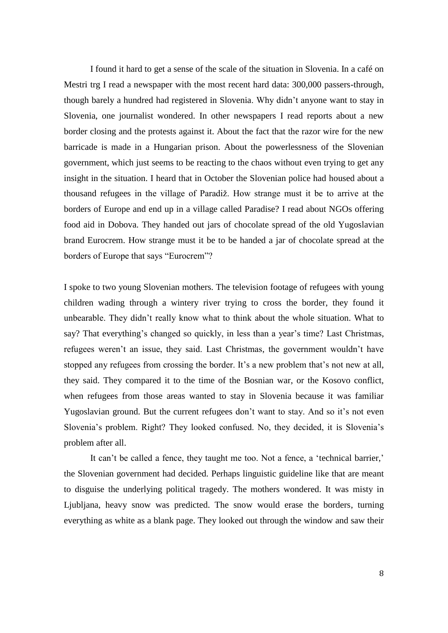I found it hard to get a sense of the scale of the situation in Slovenia. In a café on Mestri trg I read a newspaper with the most recent hard data: 300,000 passers-through, though barely a hundred had registered in Slovenia. Why didn't anyone want to stay in Slovenia, one journalist wondered. In other newspapers I read reports about a new border closing and the protests against it. About the fact that the razor wire for the new barricade is made in a Hungarian prison. About the powerlessness of the Slovenian government, which just seems to be reacting to the chaos without even trying to get any insight in the situation. I heard that in October the Slovenian police had housed about a thousand refugees in the village of Paradiž. How strange must it be to arrive at the borders of Europe and end up in a village called Paradise? I read about NGOs offering food aid in Dobova. They handed out jars of chocolate spread of the old Yugoslavian brand Eurocrem. How strange must it be to be handed a jar of chocolate spread at the borders of Europe that says "Eurocrem"?

I spoke to two young Slovenian mothers. The television footage of refugees with young children wading through a wintery river trying to cross the border, they found it unbearable. They didn't really know what to think about the whole situation. What to say? That everything's changed so quickly, in less than a year's time? Last Christmas, refugees weren't an issue, they said. Last Christmas, the government wouldn't have stopped any refugees from crossing the border. It's a new problem that's not new at all, they said. They compared it to the time of the Bosnian war, or the Kosovo conflict, when refugees from those areas wanted to stay in Slovenia because it was familiar Yugoslavian ground. But the current refugees don't want to stay. And so it's not even Slovenia's problem. Right? They looked confused. No, they decided, it is Slovenia's problem after all.

It can't be called a fence, they taught me too. Not a fence, a 'technical barrier,' the Slovenian government had decided. Perhaps linguistic guideline like that are meant to disguise the underlying political tragedy. The mothers wondered. It was misty in Ljubljana, heavy snow was predicted. The snow would erase the borders, turning everything as white as a blank page. They looked out through the window and saw their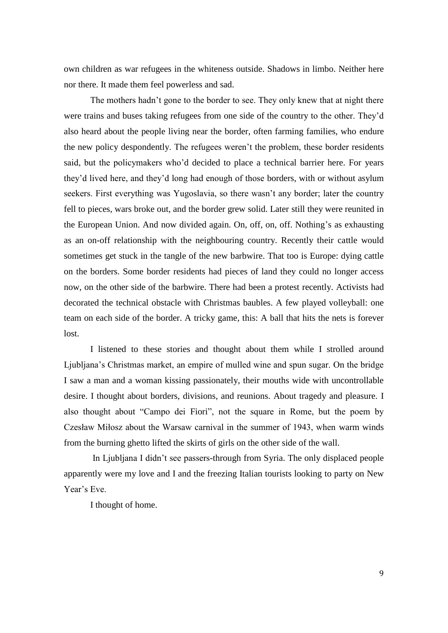own children as war refugees in the whiteness outside. Shadows in limbo. Neither here nor there. It made them feel powerless and sad.

The mothers hadn't gone to the border to see. They only knew that at night there were trains and buses taking refugees from one side of the country to the other. They'd also heard about the people living near the border, often farming families, who endure the new policy despondently. The refugees weren't the problem, these border residents said, but the policymakers who'd decided to place a technical barrier here. For years they'd lived here, and they'd long had enough of those borders, with or without asylum seekers. First everything was Yugoslavia, so there wasn't any border; later the country fell to pieces, wars broke out, and the border grew solid. Later still they were reunited in the European Union. And now divided again. On, off, on, off. Nothing's as exhausting as an on-off relationship with the neighbouring country. Recently their cattle would sometimes get stuck in the tangle of the new barbwire. That too is Europe: dying cattle on the borders. Some border residents had pieces of land they could no longer access now, on the other side of the barbwire. There had been a protest recently. Activists had decorated the technical obstacle with Christmas baubles. A few played volleyball: one team on each side of the border. A tricky game, this: A ball that hits the nets is forever lost.

I listened to these stories and thought about them while I strolled around Ljubljana's Christmas market, an empire of mulled wine and spun sugar. On the bridge I saw a man and a woman kissing passionately, their mouths wide with uncontrollable desire. I thought about borders, divisions, and reunions. About tragedy and pleasure. I also thought about "Campo dei Fiori", not the square in Rome, but the poem by Czesław Miłosz about the Warsaw carnival in the summer of 1943, when warm winds from the burning ghetto lifted the skirts of girls on the other side of the wall.

In Ljubljana I didn't see passers-through from Syria. The only displaced people apparently were my love and I and the freezing Italian tourists looking to party on New Year's Eve.

I thought of home.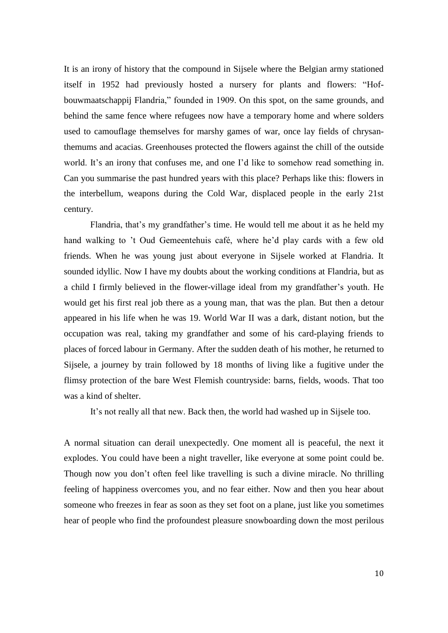It is an irony of history that the compound in Sijsele where the Belgian army stationed itself in 1952 had previously hosted a nursery for plants and flowers: "Hofbouwmaatschappij Flandria," founded in 1909. On this spot, on the same grounds, and behind the same fence where refugees now have a temporary home and where solders used to camouflage themselves for marshy games of war, once lay fields of chrysanthemums and acacias. Greenhouses protected the flowers against the chill of the outside world. It's an irony that confuses me, and one I'd like to somehow read something in. Can you summarise the past hundred years with this place? Perhaps like this: flowers in the interbellum, weapons during the Cold War, displaced people in the early 21st century.

Flandria, that's my grandfather's time. He would tell me about it as he held my hand walking to 't Oud Gemeentehuis café, where he'd play cards with a few old friends. When he was young just about everyone in Sijsele worked at Flandria. It sounded idyllic. Now I have my doubts about the working conditions at Flandria, but as a child I firmly believed in the flower-village ideal from my grandfather's youth. He would get his first real job there as a young man, that was the plan. But then a detour appeared in his life when he was 19. World War II was a dark, distant notion, but the occupation was real, taking my grandfather and some of his card-playing friends to places of forced labour in Germany. After the sudden death of his mother, he returned to Sijsele, a journey by train followed by 18 months of living like a fugitive under the flimsy protection of the bare West Flemish countryside: barns, fields, woods. That too was a kind of shelter.

It's not really all that new. Back then, the world had washed up in Sijsele too.

A normal situation can derail unexpectedly. One moment all is peaceful, the next it explodes. You could have been a night traveller, like everyone at some point could be. Though now you don't often feel like travelling is such a divine miracle. No thrilling feeling of happiness overcomes you, and no fear either. Now and then you hear about someone who freezes in fear as soon as they set foot on a plane, just like you sometimes hear of people who find the profoundest pleasure snowboarding down the most perilous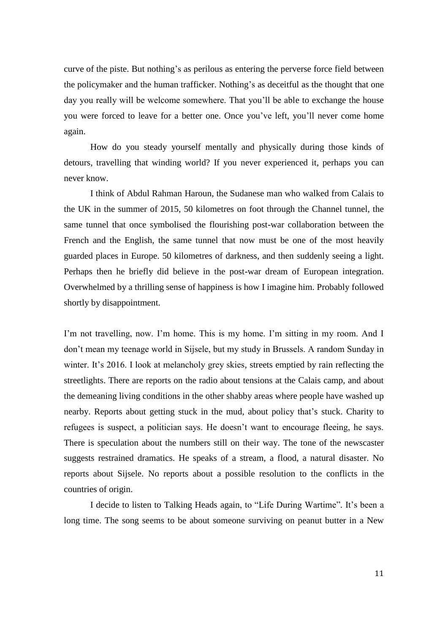curve of the piste. But nothing's as perilous as entering the perverse force field between the policymaker and the human trafficker. Nothing's as deceitful as the thought that one day you really will be welcome somewhere. That you'll be able to exchange the house you were forced to leave for a better one. Once you've left, you'll never come home again.

How do you steady yourself mentally and physically during those kinds of detours, travelling that winding world? If you never experienced it, perhaps you can never know.

I think of Abdul Rahman Haroun, the Sudanese man who walked from Calais to the UK in the summer of 2015, 50 kilometres on foot through the Channel tunnel, the same tunnel that once symbolised the flourishing post-war collaboration between the French and the English, the same tunnel that now must be one of the most heavily guarded places in Europe. 50 kilometres of darkness, and then suddenly seeing a light. Perhaps then he briefly did believe in the post-war dream of European integration. Overwhelmed by a thrilling sense of happiness is how I imagine him. Probably followed shortly by disappointment.

I'm not travelling, now. I'm home. This is my home. I'm sitting in my room. And I don't mean my teenage world in Sijsele, but my study in Brussels. A random Sunday in winter. It's 2016. I look at melancholy grey skies, streets emptied by rain reflecting the streetlights. There are reports on the radio about tensions at the Calais camp, and about the demeaning living conditions in the other shabby areas where people have washed up nearby. Reports about getting stuck in the mud, about policy that's stuck. Charity to refugees is suspect, a politician says. He doesn't want to encourage fleeing, he says. There is speculation about the numbers still on their way. The tone of the newscaster suggests restrained dramatics. He speaks of a stream, a flood, a natural disaster. No reports about Sijsele. No reports about a possible resolution to the conflicts in the countries of origin.

I decide to listen to Talking Heads again, to "Life During Wartime". It's been a long time. The song seems to be about someone surviving on peanut butter in a New